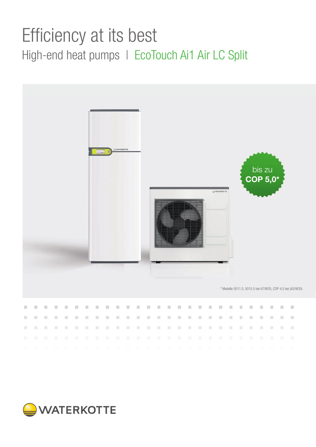# Efficiency at its best High-end heat pumps | EcoTouch Ai1 Air LC Split



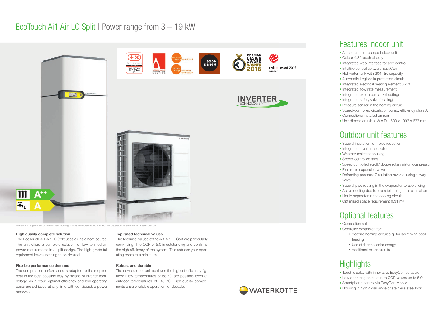

A++ and A: Energy-efficient combined system (including. WWPRs II controller) heating W35 and DHW preparation. Variations within the series possible

### Features indoor unit

- Special insulation for noise reduction
- Integrated inverter controller
- Weather-resistant housing
- Speed-controlled fans
- Speed-controlled scroll / double rotary piston compressor
- Electronic expansion valve
- Defrosting process: Circulation reversal using 4-way valve
- Special pipe routing in the evaporator to avoid icing
- Active cooling due to reversible refrigerant circulation
- Liquid separator in the cooling circuit
- Optimised space requirement 0.31 m<sup>2</sup>
- Air source heat pumps indoor unit
- Colour 4.3" touch display
- Integrated web interface for app control
- Intuitive control software EasyCon
- Hot water tank with 204-litre capacity
- Automatic Legionella protection circuit
- Integrated electrical heating element 6 kW
- Integrated flow rate measurement
- Integrated expansion tank (heating)
- Integrated safety valve (heating)
- Pressure sensor in the heating circuit
- Speed-controlled circulation pump, efficiency class A
- Connections installed on rear
- Unit dimensions (H x W x D): 600 x 1993 x 633 mm

## Outdoor unit features

## Optional features

- Connection set
- Controller expansion for:
	- Second heating circuit e.g. for swimming pool heating
	- Use of thermal solar energy
	- Additional mixer circuits

# **Highlights**

The new outdoor unit achieves the highest efficiency figures: Flow temperatures of 58 °C are possible even at outdoor temperatures of -15 °C. High-quality components ensure reliable operation for decades.



- Touch display with innovative EasyCon software
- Low operating costs due to COP values up to 5.0
- Smartphone control via EasyCon Mobile
- Housing in high gloss white or stainless steel look

#### High quality complete solution

The EcoTouch Ai1 Air LC Split uses air as a heat source. The unit offers a complete solution for low to medium power requirements in a split design. The high-grade full equipment leaves nothing to be desired.

### Flexible performance demand

The compressor performance is adapted to the required heat in the best possible way by means of inverter technology. As a result optimal efficiency and low operating costs are achieved at any time with considerable power reserves.

#### Top rated technical values

The technical values of the Ai1 Air LC Split are particularly convincing. The COP of 5.0 is outstanding and confirms the high efficiency of the system. This reduces your operating costs to a minimum.

### Robust and durable

### EcoTouch Ai1 Air LC Split | Power range from 3 – 19 kW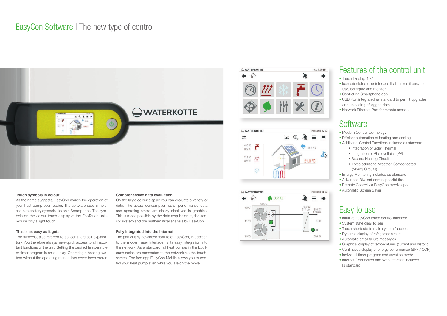### EasyCon Software I The new type of control



# WATERKOTTE 17.01.2019  $\leftarrow$  m



### Touch symbols in colour

As the name suggests, EasyCon makes the operation of your heat pump even easier. The software uses simple, self-explanatory symbols like on a Smartphone. The symbols on the colour touch display of the EcoTouch units require only a light touch.

### This is as easy as it gets

The symbols, also referred to as icons, are self-explanatory. You therefore always have quick access to all important functions of the unit. Setting the desired temperature or timer program is child's play. Operating a heating system without the operating manual has never been easier.

#### Comprehensive data evaluation

On the large colour display you can evaluate a variety of data. The actual consumption data, performance data and operating states are clearly displayed in graphics. This is made possible by the data acquisition by the sensor system and the mathematical analysis by EasyCon.

### Fully integrated into the Internet

The particularly advanced feature of EasyCon, in addition to the modern user Interface, is its easy integration into the network. As a standard, all heat pumps in the EcoTouch series are connected to the network via the touchscreen. The free app EasyCon Mobile allows you to control your heat pump even while you are on the move.



### Features of the control unit

- Touch Display, 4.3"
- Icon orientated user interface that makes it easy to use, configure and monitor
- Control via Smartphone app
- USB Port integrated as standard to permit upgrades and uploading of logged data
- Network Ethernet Port for remote access

### **Software**

- Modern Control technology
- Efficient automation of heating and cooling
- Additional Control Functions included as standard:
	- Integration of Solar Thermal
	- Integration of Photovoltaics (PV)
	- Second Heating Circuit
	- Three additional Weather Compensated (Mixing Circuits)
- Energy Monitoring included as standard
- Advanced Bivalent control possibilities
- Remote Control via EasyCon mobile app
- Automatic Screen Saver

### Easy to use

- Intuitive EasyCon touch control interface
- System state clear to see
- Touch shortcuts to main system functions
- Dynamic display of refrigerant circuit
- Automatic email failure messages
- Graphical display of temperatures (current and historic)
- Continuous display of energy performance (SPF / COP)
- Individual timer program and vacation mode
- Internet Connection and Web interface included as standard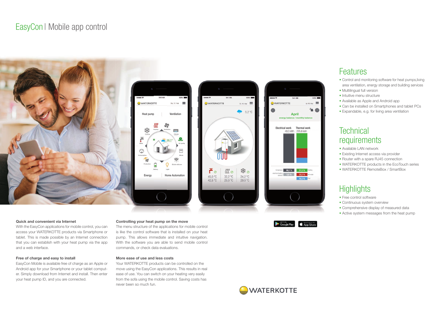### Features

- Control and monitoring software for heat pumps,living area ventilation, energy storage and building services
- Multilingual full version
- Intuitive menu structure
- Available as Apple and Android app
- Can be installed on Smartphones and tablet PCs
- Expandable, e.g. for living area ventilation

### **Technical** requirements

- Available LAN network
- Existing Internet access via provider
- Router with a spare RJ45 connection
- WATERKOTTE products in the EcoTouch series
- WATERKOTTE RemoteBox / SmartBox

## **Highlights**

- Free control software
- Continuous system overview
- Comprehensive display of measured data
- Active system messages from the heat pump

### Controlling your heat pump on the move

The menu structure of the applications for mobile control is like the control software that is installed on your heat pump. This allows immediate and intuitive navigation. With the software you are able to send mobile control commands, or check data evaluations.

### 100% Do, 17. Feb Ventilation Heating Ventilation Climate Air quality **Consumption Blinds**  $\widehat{\mathbb{C}}$ Smoke detector **Battery** Light Home Automation



### More ease of use and less costs

Your WATERKOTTE products can be controlled on the move using the EasyCon applications. This results in real ease of use. You can switch on your heating very easily from the sofa using the mobile control. Saving costs has never been so much fun.



### Quick and convenient via Internet

With the EasyCon applications for mobile control, you can access your WATERKOTTE products via Smartphone or tablet. This is made possible by an Internet connection that you can establish with your heat pump via the app and a web interface.

### Free of charge and easy to install

EasyCon Mobile is available free of charge as an Apple or Android app for your Smartphone or your tablet computer. Simply download from Internet and install. Then enter your heat pump ID, and you are connected.

### EasyCon | Mobile app control





Download on the

Google Play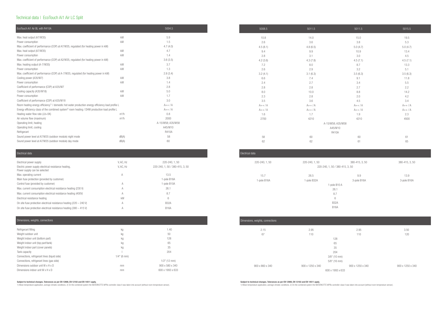### Technical data | EcoTouch Ai1 Air LC Split

### Electrical data Electrical power supply V, AC, Hz 220-240, 1, 50 Electric power supply electrical resistance heating, example of the V, AC, Hz control of the 220-240, 1, 50 / 380-415, 3, 50 Power supply can be selected Max. operating current 13.5 Main fuse protection (provided by customer) and the state of the state of the State of the B16A Control fuse (provided by customer) and the control fuse of the S10A 1-pole B10A Max. current consumption electrical resistance heating (230 V) A 26.1 Max. current consumption electrical resistance heating (400V)  $\qquad A$  A 3.7 Electrical resistance heating 6 and 1 and 2 and 2 and 2 and 2 and 2 and 2 and 2 and 2 and 3 and 4 and 4 and 4 and 4 and 4 and 4 and 4 and 4 and 4 and 4 and 4 and 4 and 4 and 4 and 4 and 4 and 4 and 4 and 4 and 4 and 4 and On site fuse protection electrical resistance heating (220 - 240 V) A B32A On site fuse protection electrical resistance heating (380 - 415 V) A B16A

#### ensions, weights, connections

| EcoTouch Ai1 Air BL with R410A                                                                                |         | 5004.5            |          | 5008.5   | 5011.5   | 5011.5            |
|---------------------------------------------------------------------------------------------------------------|---------|-------------------|----------|----------|----------|-------------------|
| Max. heat output (A7/W35)                                                                                     | kW      | 5.9               |          | 10.8     | 14.0     | 15.0              |
| Power consumption                                                                                             | kW      | 1.5               |          | 2.6      | 3.6      | 3.8               |
| Max. coefficient of performance (COP) at A7/W35, regulated (for heating power in kW)                          |         | 4.7(4.0)          |          | 4.5(8.1) | 4.8(6.5) | 5.0(4.7)          |
| Max. heat output (A7/W35)                                                                                     | kW      | 4.7               | 9.4      |          | 9.9      | 10.9              |
| Power consumption                                                                                             | kW      | 1.4               | 2.8      |          | 3.1      | 3.0               |
| Max. coefficient of performance (COP) at A2/W35, regulated (for heating power in kW)                          |         | 3.6(3.5)          | 4.2(3.6) |          | 4.3(7.8) | 4.5(7.1)          |
| Max. heating output (A-7/W35)                                                                                 | kW      | 3.7               | 7.2      |          | 8.0      | 8.7               |
| Power consumption                                                                                             | kW      | 1.3               | 2.6      |          | 2.9      | 3.2               |
| Max. coefficient of performance (COP) at A-7/W35, regulated (for heating power in kW)                         |         | 2.8(3.4)          | 3.2(4.1) |          | 3.1(6.3) | 3.5(6.3)          |
| Cooling power (A35/W7)                                                                                        | kW      | 3.8               | 6.6      | 7.4      |          | 9.1               |
| Power consumption                                                                                             | kW      | 1.4               | 2.4      | 2.7      |          | 3.4               |
| Coefficient of performance (COP) at A35/W7                                                                    |         | 2.8               | 2.8      | 2.8      |          | 2.7               |
| Cooling capacity (A35/W18)                                                                                    | kW      | 5.0               | 8.0      | 10.0     |          | 8.8               |
| Power consumption                                                                                             | kW      | 1.7               | 2.3      | 2.8      |          | 2.0               |
| Coefficient of performance (COP) at A35/W18                                                                   |         | 3.0               | 3.5      | 3.6      |          | 4.5               |
| Room heating energy efficiency <sup>1)</sup> / domestic hot water production energy efficiency load profile L |         | $A++/A$           | $A++/A$  | $A++/A$  |          | $A++/A$           |
| Energy efficiency class of the combined system <sup>2</sup> room heating / DHW production load profile L      |         | $A++/A$           | $A++/A$  | $A++/A$  |          | $A++/A$           |
| Heating water flow rate $(\Delta t = 5K)$                                                                     | $m^3/h$ | 0.8               | 1.6      | 1.7      |          | 1.9               |
| Air volume flow (maximum)                                                                                     | $m^3/h$ | 2000              | 2700     | 4210     |          | 4210              |
| Operating limit, heating                                                                                      |         | A-15/W58; A35/W58 |          |          |          | A-15/W58; A35/W58 |
| Operating limit, cooling                                                                                      |         | A45/W10           |          |          |          | A45/W10           |
| Refrigerant                                                                                                   |         | R410A             |          |          |          | R410A             |
| Sound power level at A7/W35 (outdoor module) night mode                                                       | dB(A)   | 58                | 58       | 60       |          | $60\,$            |
| Sound power level at A7/W35 (outdoor module) day mode                                                         | dB(A)   | 60                | 62       | 62       |          | 61                |

| Electrical data |                |                                 |                |
|-----------------|----------------|---------------------------------|----------------|
| 220-240, 1, 50  | 220-240, 1, 50 | 380-415, 3, 50                  | 380-415, 3, 50 |
|                 |                | 220-240, 1, 50 / 380-415, 3, 50 |                |
| 15.7            | 26.5           | 9.9                             | 13.9           |
| 1-pole B16A     | 1-pole B32A    | 3-pole B16A                     | 3-pole B16A    |
|                 |                | 1-pole B10 A                    |                |
|                 | 26.1           |                                 |                |
|                 | 8.7            |                                 |                |
|                 |                | 6                               |                |
|                 |                | <b>B32A</b>                     |                |
|                 |                | <b>B16A</b>                     |                |
|                 |                |                                 |                |

| Refrigerant filling                          | kg             | 1.40             |
|----------------------------------------------|----------------|------------------|
| Weight outdoor unit                          | kg             | 50               |
| Weight indoor unit (bottom part)             | kg             | 128              |
| Weight indoor unit (top part/tank)           | kg             | 65               |
| Weight indoor part (cover panels)            | kg             | 35               |
| Tank capacity                                |                | 204              |
| Connections, refrigerant lines (liquid side) | $1/4$ " (6 mm) |                  |
| Connections, refrigerant lines (gas side)    |                | $1/2$ " (12 mm)  |
| Dimensions outdoor unit W x H x D            | mm             | 900 x 580 x 340  |
| Dimensions indoor unit $W \times H \times D$ | mm             | 600 x 1993 x 633 |

| Dimensions, weights, connections |                  |                  |                  |                  |
|----------------------------------|------------------|------------------|------------------|------------------|
| 2.15                             | 2.95             |                  | 2.95             | 3.50             |
| 67                               | 110              |                  | 110              | 120              |
|                                  |                  | 128              |                  |                  |
|                                  |                  | 65               |                  |                  |
|                                  |                  | 35               |                  |                  |
|                                  |                  | 204              |                  |                  |
|                                  |                  | $3/8$ " (10 mm)  |                  |                  |
|                                  |                  | $5/8$ " (16 mm)  |                  |                  |
| 900 x 860 x 340                  | 900 x 1250 x 340 |                  | 900 x 1250 x 340 | 900 x 1250 x 340 |
|                                  |                  | 600 x 1993 x 633 |                  |                  |
|                                  |                  |                  |                  |                  |

#### Subject to technical changes. Tolerances as per EN 12900, EN 12102 and EN 14511 apply.

1) Mean temperature application, average climatic conditions. 2) On the combined system the WATERKOTTE WPRs controller class II was taken into account (without room temperature sensor).

#### Subject to technical changes. Tolerances as per EN 12900, EN 12102 and EN 14511 apply.

1) Mean temperature application, average climatic conditions. 2) On the combined system the WATERKOTTE WPRs controller class II was taken into account (without room temperature sensor).